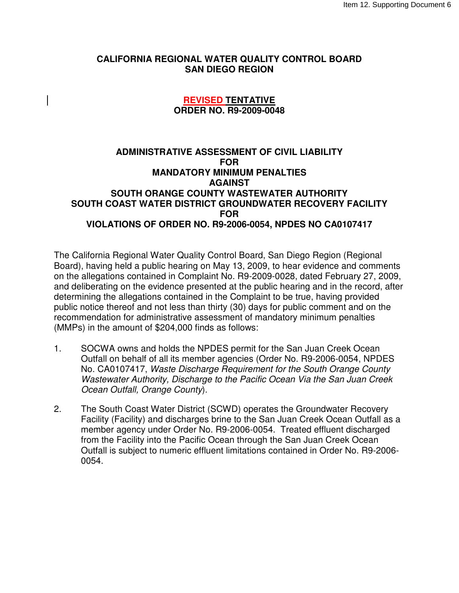## **CALIFORNIA REGIONAL WATER QUALITY CONTROL BOARD SAN DIEGO REGION**

## **REVISED TENTATIVE ORDER NO. R9-2009-0048**

## **ADMINISTRATIVE ASSESSMENT OF CIVIL LIABILITY FOR MANDATORY MINIMUM PENALTIES AGAINST SOUTH ORANGE COUNTY WASTEWATER AUTHORITY SOUTH COAST WATER DISTRICT GROUNDWATER RECOVERY FACILITY FOR VIOLATIONS OF ORDER NO. R9-2006-0054, NPDES NO CA0107417**

The California Regional Water Quality Control Board, San Diego Region (Regional Board), having held a public hearing on May 13, 2009, to hear evidence and comments on the allegations contained in Complaint No. R9-2009-0028, dated February 27, 2009, and deliberating on the evidence presented at the public hearing and in the record, after determining the allegations contained in the Complaint to be true, having provided public notice thereof and not less than thirty (30) days for public comment and on the recommendation for administrative assessment of mandatory minimum penalties (MMPs) in the amount of \$204,000 finds as follows:

- 1. SOCWA owns and holds the NPDES permit for the San Juan Creek Ocean Outfall on behalf of all its member agencies (Order No. R9-2006-0054, NPDES No. CA0107417, Waste Discharge Requirement for the South Orange County Wastewater Authority, Discharge to the Pacific Ocean Via the San Juan Creek Ocean Outfall, Orange County).
- 2. The South Coast Water District (SCWD) operates the Groundwater Recovery Facility (Facility) and discharges brine to the San Juan Creek Ocean Outfall as a member agency under Order No. R9-2006-0054. Treated effluent discharged from the Facility into the Pacific Ocean through the San Juan Creek Ocean Outfall is subject to numeric effluent limitations contained in Order No. R9-2006- 0054.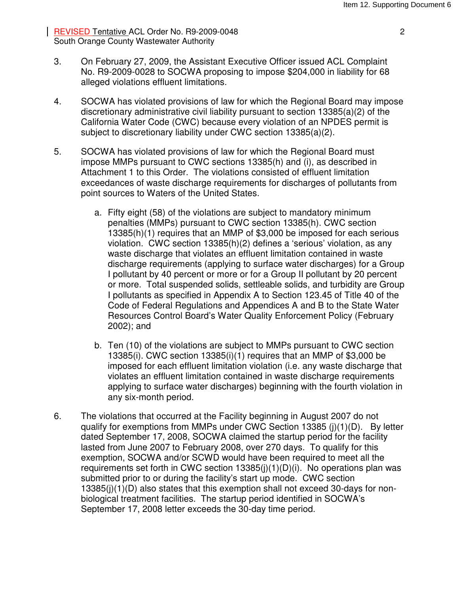REVISED Tentative ACL Order No. R9-2009-0048 2 South Orange County Wastewater Authority

- 3. On February 27, 2009, the Assistant Executive Officer issued ACL Complaint No. R9-2009-0028 to SOCWA proposing to impose \$204,000 in liability for 68 alleged violations effluent limitations.
- 4. SOCWA has violated provisions of law for which the Regional Board may impose discretionary administrative civil liability pursuant to section 13385(a)(2) of the California Water Code (CWC) because every violation of an NPDES permit is subject to discretionary liability under CWC section 13385(a)(2).
- 5. SOCWA has violated provisions of law for which the Regional Board must impose MMPs pursuant to CWC sections 13385(h) and (i), as described in Attachment 1 to this Order. The violations consisted of effluent limitation exceedances of waste discharge requirements for discharges of pollutants from point sources to Waters of the United States.
	- a. Fifty eight (58) of the violations are subject to mandatory minimum penalties (MMPs) pursuant to CWC section 13385(h). CWC section 13385(h)(1) requires that an MMP of \$3,000 be imposed for each serious violation. CWC section 13385(h)(2) defines a 'serious' violation, as any waste discharge that violates an effluent limitation contained in waste discharge requirements (applying to surface water discharges) for a Group I pollutant by 40 percent or more or for a Group II pollutant by 20 percent or more. Total suspended solids, settleable solids, and turbidity are Group I pollutants as specified in Appendix A to Section 123.45 of Title 40 of the Code of Federal Regulations and Appendices A and B to the State Water Resources Control Board's Water Quality Enforcement Policy (February 2002); and
	- b. Ten (10) of the violations are subject to MMPs pursuant to CWC section 13385(i). CWC section 13385(i)(1) requires that an MMP of \$3,000 be imposed for each effluent limitation violation (i.e. any waste discharge that violates an effluent limitation contained in waste discharge requirements applying to surface water discharges) beginning with the fourth violation in any six-month period.
- 6. The violations that occurred at the Facility beginning in August 2007 do not qualify for exemptions from MMPs under CWC Section 13385 (j)(1)(D). By letter dated September 17, 2008, SOCWA claimed the startup period for the facility lasted from June 2007 to February 2008, over 270 days. To qualify for this exemption, SOCWA and/or SCWD would have been required to meet all the requirements set forth in CWC section 13385(j)(1)(D)(i). No operations plan was submitted prior to or during the facility's start up mode. CWC section 13385(j)(1)(D) also states that this exemption shall not exceed 30-days for nonbiological treatment facilities. The startup period identified in SOCWA's September 17, 2008 letter exceeds the 30-day time period.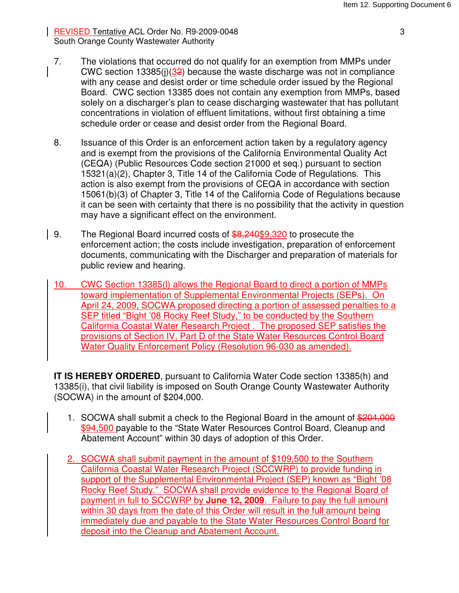| REVISED Tentative ACL Order No. R9-2009-0048 33 South Orange County Wastewater Authority

- 7. The violations that occurred do not qualify for an exemption from MMPs under CWC section 13385(j)(32) because the waste discharge was not in compliance with any cease and desist order or time schedule order issued by the Regional Board. CWC section 13385 does not contain any exemption from MMPs, based solely on a discharger's plan to cease discharging wastewater that has pollutant concentrations in violation of effluent limitations, without first obtaining a time schedule order or cease and desist order from the Regional Board.
- 8. Issuance of this Order is an enforcement action taken by a regulatory agency and is exempt from the provisions of the California Environmental Quality Act (CEQA) (Public Resources Code section 21000 et seq.) pursuant to section 15321(a)(2), Chapter 3, Title 14 of the California Code of Regulations. This action is also exempt from the provisions of CEQA in accordance with section 15061(b)(3) of Chapter 3, Title 14 of the California Code of Regulations because it can be seen with certainty that there is no possibility that the activity in question may have a significant effect on the environment.
- 9. The Regional Board incurred costs of  $$8,240$9,320$  to prosecute the enforcement action; the costs include investigation, preparation of enforcement documents, communicating with the Discharger and preparation of materials for public review and hearing.
- 10. CWC Section 13385(l) allows the Regional Board to direct a portion of MMPs toward implementation of Supplemental Environmental Projects (SEPs). On April 24, 2009, SOCWA proposed directing a portion of assessed penalties to a SEP titled "Bight '08 Rocky Reef Study," to be conducted by the Southern California Coastal Water Research Project . The proposed SEP satisfies the provisions of Section IV, Part D of the State Water Resources Control Board Water Quality Enforcement Policy (Resolution 96-030 as amended).

**IT IS HEREBY ORDERED**, pursuant to California Water Code section 13385(h) and 13385(i), that civil liability is imposed on South Orange County Wastewater Authority (SOCWA) in the amount of \$204,000.

- 1. SOCWA shall submit a check to the Regional Board in the amount of \$204,000 \$94,500 payable to the "State Water Resources Control Board, Cleanup and Abatement Account" within 30 days of adoption of this Order.
- 2. SOCWA shall submit payment in the amount of \$109,500 to the Southern California Coastal Water Research Project (SCCWRP) to provide funding in support of the Supplemental Environmental Project (SEP) known as "Bight '08 Rocky Reef Study." SOCWA shall provide evidence to the Regional Board of payment in full to SCCWRP by **June 12, 2009**. Failure to pay the full amount within 30 days from the date of this Order will result in the full amount being immediately due and payable to the State Water Resources Control Board for deposit into the Cleanup and Abatement Account.